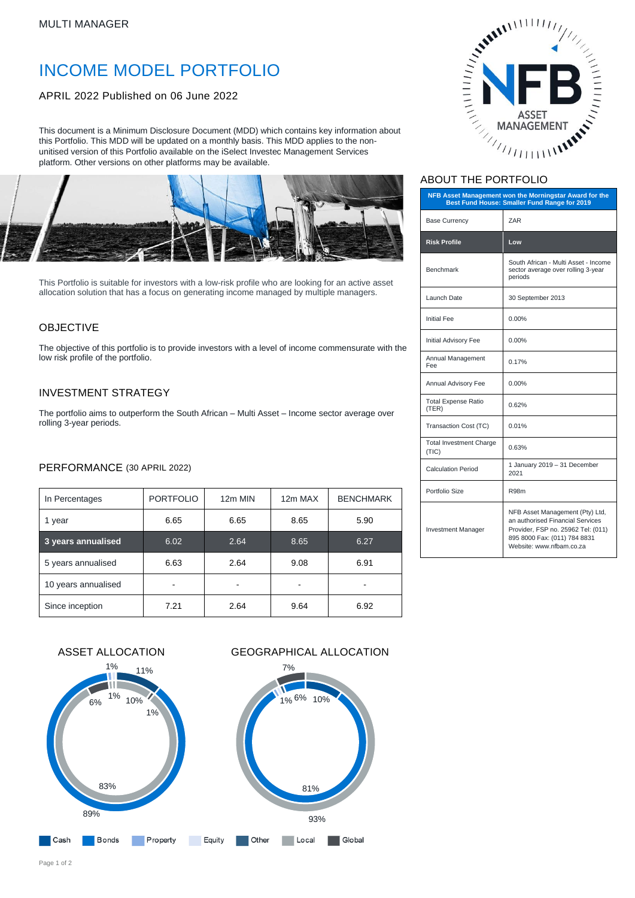# INCOME MODEL PORTFOLIO

## APRIL 2022 Published on 06 June 2022

This document is a Minimum Disclosure Document (MDD) which contains key information about this Portfolio. This MDD will be updated on a monthly basis. This MDD applies to the nonunitised version of this Portfolio available on the iSelect Investec Management Services platform. Other versions on other platforms may be available.



This Portfolio is suitable for investors with a low-risk profile who are looking for an active asset allocation solution that has a focus on generating income managed by multiple managers.

# **OBJECTIVE**

The objective of this portfolio is to provide investors with a level of income commensurate with the low risk profile of the portfolio.

#### INVESTMENT STRATEGY

The portfolio aims to outperform the South African – Multi Asset – Income sector average over rolling 3-year periods.

#### PERFORMANCE (30 APRIL 2022)

| In Percentages      | <b>PORTFOLIO</b> | 12m MIN | 12m MAX | <b>BENCHMARK</b> |
|---------------------|------------------|---------|---------|------------------|
| 1 year              | 6.65             | 6.65    | 8.65    | 5.90             |
| 3 years annualised  | 6.02             | 2.64    | 8.65    | 6.27             |
| 5 years annualised  | 6.63             | 2.64    | 9.08    | 6.91             |
| 10 years annualised |                  |         |         |                  |
| Since inception     | 7.21             | 2.64    | 9.64    | 6.92             |





# ABOUT THE PORTFOLIO

| NFB Asset Management won the Morningstar Award for the<br>Best Fund House: Smaller Fund Range for 2019 |                                                                                                                                                                       |  |  |
|--------------------------------------------------------------------------------------------------------|-----------------------------------------------------------------------------------------------------------------------------------------------------------------------|--|--|
| <b>Base Currency</b>                                                                                   | ZAR                                                                                                                                                                   |  |  |
| <b>Risk Profile</b>                                                                                    | Low                                                                                                                                                                   |  |  |
| <b>Benchmark</b>                                                                                       | South African - Multi Asset - Income<br>sector average over rolling 3-year<br>periods                                                                                 |  |  |
| Launch Date                                                                                            | 30 September 2013                                                                                                                                                     |  |  |
| <b>Initial Fee</b>                                                                                     | $0.00\%$                                                                                                                                                              |  |  |
| Initial Advisory Fee                                                                                   | $0.00\%$                                                                                                                                                              |  |  |
| Annual Management<br>Fee                                                                               | 0.17%                                                                                                                                                                 |  |  |
| Annual Advisory Fee                                                                                    | $0.00\%$                                                                                                                                                              |  |  |
| <b>Total Expense Ratio</b><br>(TER)                                                                    | 0.62%                                                                                                                                                                 |  |  |
| Transaction Cost (TC)                                                                                  | 0.01%                                                                                                                                                                 |  |  |
| <b>Total Investment Charge</b><br>(TIC)                                                                | 0.63%                                                                                                                                                                 |  |  |
| <b>Calculation Period</b>                                                                              | 1 January 2019 - 31 December<br>2021                                                                                                                                  |  |  |
| Portfolio Size                                                                                         | R98m                                                                                                                                                                  |  |  |
| <b>Investment Manager</b>                                                                              | NFB Asset Management (Pty) Ltd,<br>an authorised Financial Services<br>Provider, FSP no. 25962 Tel: (011)<br>895 8000 Fax: (011) 784 8831<br>Website: www.nfbam.co.za |  |  |